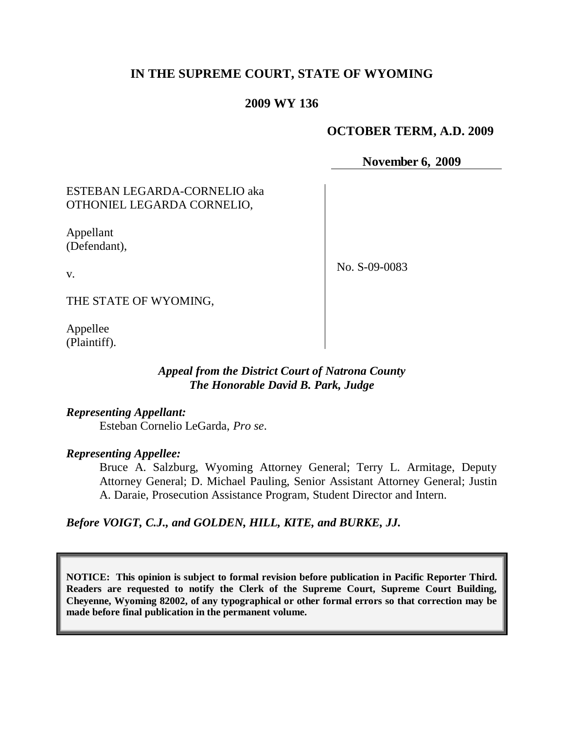# **IN THE SUPREME COURT, STATE OF WYOMING**

## **2009 WY 136**

### **OCTOBER TERM, A.D. 2009**

**November 6, 2009**

## ESTEBAN LEGARDA-CORNELIO aka OTHONIEL LEGARDA CORNELIO,

Appellant (Defendant),

No. S-09-0083

v.

THE STATE OF WYOMING,

Appellee (Plaintiff).

## *Appeal from the District Court of Natrona County The Honorable David B. Park, Judge*

*Representing Appellant:* Esteban Cornelio LeGarda, *Pro se*.

#### *Representing Appellee:*

Bruce A. Salzburg, Wyoming Attorney General; Terry L. Armitage, Deputy Attorney General; D. Michael Pauling, Senior Assistant Attorney General; Justin A. Daraie, Prosecution Assistance Program, Student Director and Intern.

*Before VOIGT, C.J., and GOLDEN, HILL, KITE, and BURKE, JJ.*

**NOTICE: This opinion is subject to formal revision before publication in Pacific Reporter Third. Readers are requested to notify the Clerk of the Supreme Court, Supreme Court Building, Cheyenne, Wyoming 82002, of any typographical or other formal errors so that correction may be made before final publication in the permanent volume.**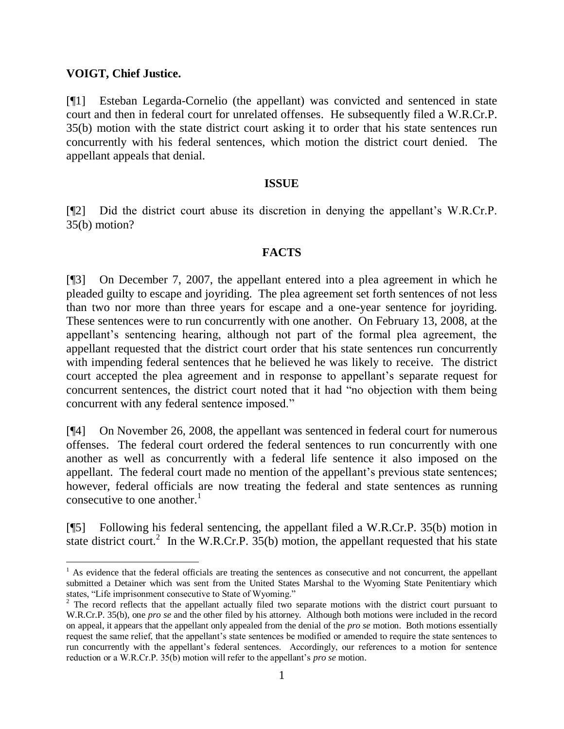### **VOIGT, Chief Justice.**

[¶1] Esteban Legarda-Cornelio (the appellant) was convicted and sentenced in state court and then in federal court for unrelated offenses. He subsequently filed a W.R.Cr.P. 35(b) motion with the state district court asking it to order that his state sentences run concurrently with his federal sentences, which motion the district court denied. The appellant appeals that denial.

## **ISSUE**

[¶2] Did the district court abuse its discretion in denying the appellant"s W.R.Cr.P. 35(b) motion?

## **FACTS**

[¶3] On December 7, 2007, the appellant entered into a plea agreement in which he pleaded guilty to escape and joyriding. The plea agreement set forth sentences of not less than two nor more than three years for escape and a one-year sentence for joyriding. These sentences were to run concurrently with one another. On February 13, 2008, at the appellant"s sentencing hearing, although not part of the formal plea agreement, the appellant requested that the district court order that his state sentences run concurrently with impending federal sentences that he believed he was likely to receive. The district court accepted the plea agreement and in response to appellant's separate request for concurrent sentences, the district court noted that it had "no objection with them being concurrent with any federal sentence imposed."

[¶4] On November 26, 2008, the appellant was sentenced in federal court for numerous offenses. The federal court ordered the federal sentences to run concurrently with one another as well as concurrently with a federal life sentence it also imposed on the appellant. The federal court made no mention of the appellant's previous state sentences; however, federal officials are now treating the federal and state sentences as running consecutive to one another. $<sup>1</sup>$ </sup>

[¶5] Following his federal sentencing, the appellant filed a W.R.Cr.P. 35(b) motion in state district court.<sup>2</sup> In the W.R.Cr.P.  $35(b)$  motion, the appellant requested that his state

 $<sup>1</sup>$  As evidence that the federal officials are treating the sentences as consecutive and not concurrent, the appellant</sup> submitted a Detainer which was sent from the United States Marshal to the Wyoming State Penitentiary which states, "Life imprisonment consecutive to State of Wyoming."

<sup>&</sup>lt;sup>2</sup> The record reflects that the appellant actually filed two separate motions with the district court pursuant to W.R.Cr.P. 35(b), one *pro se* and the other filed by his attorney. Although both motions were included in the record on appeal, it appears that the appellant only appealed from the denial of the *pro se* motion. Both motions essentially request the same relief, that the appellant"s state sentences be modified or amended to require the state sentences to run concurrently with the appellant"s federal sentences. Accordingly, our references to a motion for sentence reduction or a W.R.Cr.P. 35(b) motion will refer to the appellant's *pro se* motion.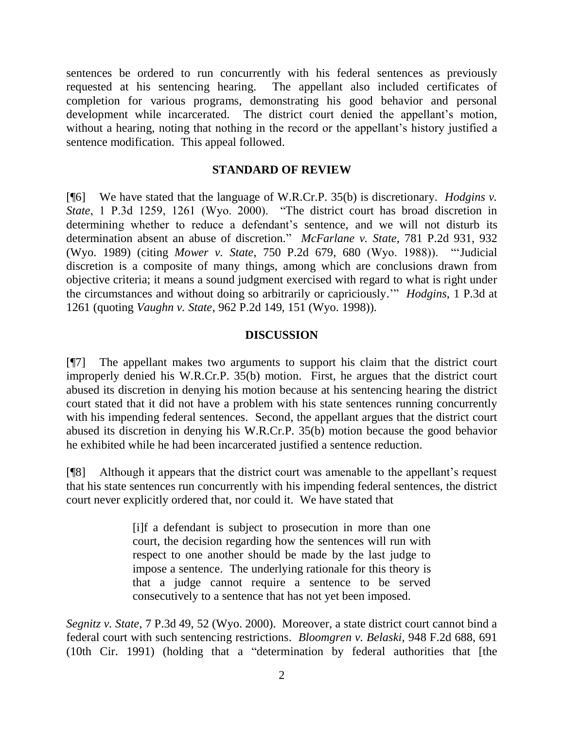sentences be ordered to run concurrently with his federal sentences as previously requested at his sentencing hearing. The appellant also included certificates of completion for various programs, demonstrating his good behavior and personal development while incarcerated. The district court denied the appellant's motion, without a hearing, noting that nothing in the record or the appellant's history justified a sentence modification. This appeal followed.

#### **STANDARD OF REVIEW**

[¶6] We have stated that the language of W.R.Cr.P. 35(b) is discretionary. *Hodgins v. State*, 1 P.3d 1259, 1261 (Wyo. 2000). "The district court has broad discretion in determining whether to reduce a defendant's sentence, and we will not disturb its determination absent an abuse of discretion." *McFarlane v. State*, 781 P.2d 931, 932 (Wyo. 1989) (citing *Mower v. State*, 750 P.2d 679, 680 (Wyo. 1988)). ""Judicial discretion is a composite of many things, among which are conclusions drawn from objective criteria; it means a sound judgment exercised with regard to what is right under the circumstances and without doing so arbitrarily or capriciously."" *Hodgins*, 1 P.3d at 1261 (quoting *Vaughn v. State*, 962 P.2d 149, 151 (Wyo. 1998)).

#### **DISCUSSION**

[¶7] The appellant makes two arguments to support his claim that the district court improperly denied his W.R.Cr.P. 35(b) motion. First, he argues that the district court abused its discretion in denying his motion because at his sentencing hearing the district court stated that it did not have a problem with his state sentences running concurrently with his impending federal sentences. Second, the appellant argues that the district court abused its discretion in denying his W.R.Cr.P. 35(b) motion because the good behavior he exhibited while he had been incarcerated justified a sentence reduction.

[¶8] Although it appears that the district court was amenable to the appellant"s request that his state sentences run concurrently with his impending federal sentences, the district court never explicitly ordered that, nor could it. We have stated that

> [i]f a defendant is subject to prosecution in more than one court, the decision regarding how the sentences will run with respect to one another should be made by the last judge to impose a sentence. The underlying rationale for this theory is that a judge cannot require a sentence to be served consecutively to a sentence that has not yet been imposed.

*Segnitz v. State*, 7 P.3d 49, 52 (Wyo. 2000). Moreover, a state district court cannot bind a federal court with such sentencing restrictions. *Bloomgren v. Belaski*, 948 F.2d 688, 691 (10th Cir. 1991) (holding that a "determination by federal authorities that [the